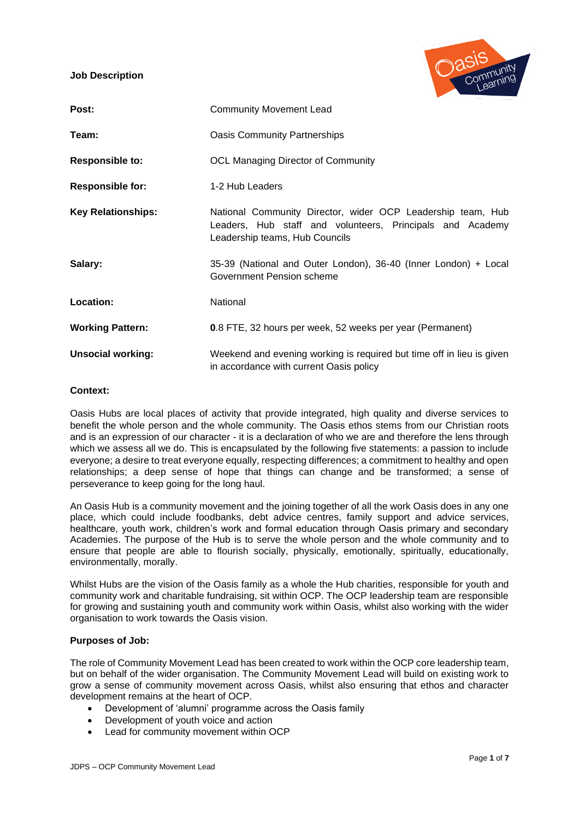**Job Description**



| Post:                     | <b>Community Movement Lead</b>                                                                                                                             |  |
|---------------------------|------------------------------------------------------------------------------------------------------------------------------------------------------------|--|
| Team:                     | <b>Oasis Community Partnerships</b>                                                                                                                        |  |
| <b>Responsible to:</b>    | <b>OCL Managing Director of Community</b>                                                                                                                  |  |
| <b>Responsible for:</b>   | 1-2 Hub Leaders                                                                                                                                            |  |
| <b>Key Relationships:</b> | National Community Director, wider OCP Leadership team, Hub<br>Leaders, Hub staff and volunteers, Principals and Academy<br>Leadership teams, Hub Councils |  |
| Salary:                   | 35-39 (National and Outer London), 36-40 (Inner London) + Local<br>Government Pension scheme                                                               |  |
| Location:                 | National                                                                                                                                                   |  |
| <b>Working Pattern:</b>   | 0.8 FTE, 32 hours per week, 52 weeks per year (Permanent)                                                                                                  |  |
| <b>Unsocial working:</b>  | Weekend and evening working is required but time off in lieu is given<br>in accordance with current Oasis policy                                           |  |

### **Context:**

Oasis Hubs are local places of activity that provide integrated, high quality and diverse services to benefit the whole person and the whole community. The Oasis ethos stems from our Christian roots and is an expression of our character - it is a declaration of who we are and therefore the lens through which we assess all we do. This is encapsulated by the following five statements: a passion to include everyone; a desire to treat everyone equally, respecting differences; a commitment to healthy and open relationships; a deep sense of hope that things can change and be transformed; a sense of perseverance to keep going for the long haul.

An Oasis Hub is a community movement and the joining together of all the work Oasis does in any one place, which could include foodbanks, debt advice centres, family support and advice services, healthcare, youth work, children's work and formal education through Oasis primary and secondary Academies. The purpose of the Hub is to serve the whole person and the whole community and to ensure that people are able to flourish socially, physically, emotionally, spiritually, educationally, environmentally, morally.

Whilst Hubs are the vision of the Oasis family as a whole the Hub charities, responsible for youth and community work and charitable fundraising, sit within OCP. The OCP leadership team are responsible for growing and sustaining youth and community work within Oasis, whilst also working with the wider organisation to work towards the Oasis vision.

### **Purposes of Job:**

The role of Community Movement Lead has been created to work within the OCP core leadership team, but on behalf of the wider organisation. The Community Movement Lead will build on existing work to grow a sense of community movement across Oasis, whilst also ensuring that ethos and character development remains at the heart of OCP.

- Development of 'alumni' programme across the Oasis family
- Development of youth voice and action
- Lead for community movement within OCP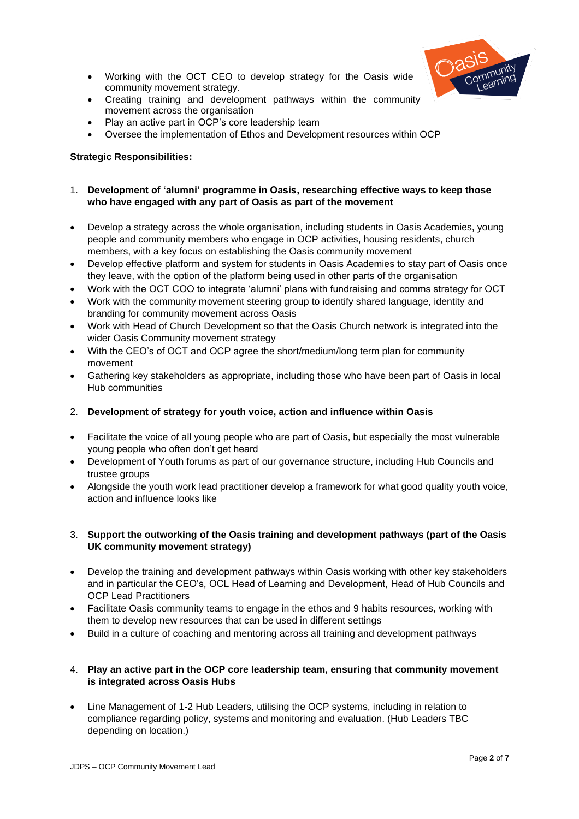

- Working with the OCT CEO to develop strategy for the Oasis wide community movement strategy.
- Creating training and development pathways within the community movement across the organisation
- Play an active part in OCP's core leadership team
- Oversee the implementation of Ethos and Development resources within OCP

# **Strategic Responsibilities:**

- 1. **Development of 'alumni' programme in Oasis, researching effective ways to keep those who have engaged with any part of Oasis as part of the movement**
- Develop a strategy across the whole organisation, including students in Oasis Academies, young people and community members who engage in OCP activities, housing residents, church members, with a key focus on establishing the Oasis community movement
- Develop effective platform and system for students in Oasis Academies to stay part of Oasis once they leave, with the option of the platform being used in other parts of the organisation
- Work with the OCT COO to integrate 'alumni' plans with fundraising and comms strategy for OCT
- Work with the community movement steering group to identify shared language, identity and branding for community movement across Oasis
- Work with Head of Church Development so that the Oasis Church network is integrated into the wider Oasis Community movement strategy
- With the CEO's of OCT and OCP agree the short/medium/long term plan for community movement
- Gathering key stakeholders as appropriate, including those who have been part of Oasis in local Hub communities
- 2. **Development of strategy for youth voice, action and influence within Oasis**
- Facilitate the voice of all young people who are part of Oasis, but especially the most vulnerable young people who often don't get heard
- Development of Youth forums as part of our governance structure, including Hub Councils and trustee groups
- Alongside the youth work lead practitioner develop a framework for what good quality youth voice, action and influence looks like

## 3. **Support the outworking of the Oasis training and development pathways (part of the Oasis UK community movement strategy)**

- Develop the training and development pathways within Oasis working with other key stakeholders and in particular the CEO's, OCL Head of Learning and Development, Head of Hub Councils and OCP Lead Practitioners
- Facilitate Oasis community teams to engage in the ethos and 9 habits resources, working with them to develop new resources that can be used in different settings
- Build in a culture of coaching and mentoring across all training and development pathways

## 4. **Play an active part in the OCP core leadership team, ensuring that community movement is integrated across Oasis Hubs**

• Line Management of 1-2 Hub Leaders, utilising the OCP systems, including in relation to compliance regarding policy, systems and monitoring and evaluation. (Hub Leaders TBC depending on location.)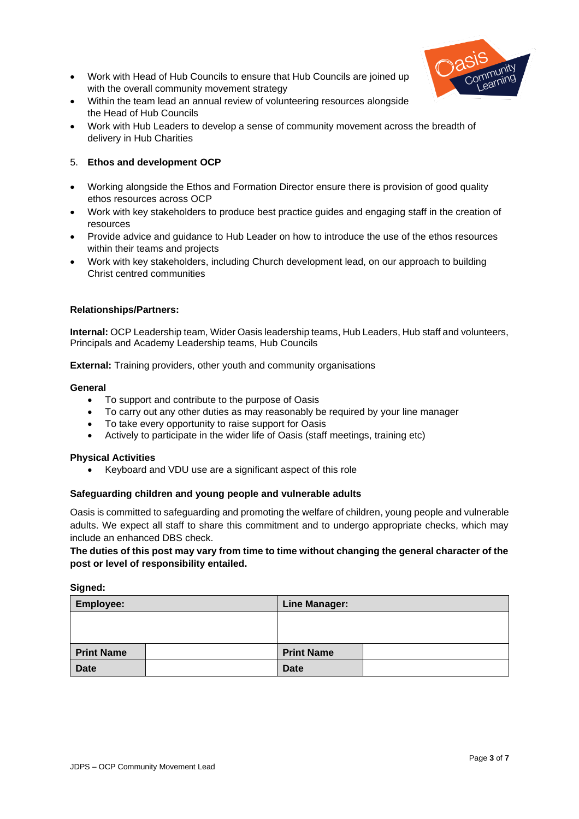

- Work with Head of Hub Councils to ensure that Hub Councils are joined up with the overall community movement strategy
- Within the team lead an annual review of volunteering resources alongside the Head of Hub Councils
- Work with Hub Leaders to develop a sense of community movement across the breadth of delivery in Hub Charities

## 5. **Ethos and development OCP**

- Working alongside the Ethos and Formation Director ensure there is provision of good quality ethos resources across OCP
- Work with key stakeholders to produce best practice guides and engaging staff in the creation of resources
- Provide advice and guidance to Hub Leader on how to introduce the use of the ethos resources within their teams and projects
- Work with key stakeholders, including Church development lead, on our approach to building Christ centred communities

## **Relationships/Partners:**

**Internal:** OCP Leadership team, Wider Oasis leadership teams, Hub Leaders, Hub staff and volunteers, Principals and Academy Leadership teams, Hub Councils

**External:** Training providers, other youth and community organisations

### **General**

- To support and contribute to the purpose of Oasis
- To carry out any other duties as may reasonably be required by your line manager
- To take every opportunity to raise support for Oasis
- Actively to participate in the wider life of Oasis (staff meetings, training etc)

### **Physical Activities**

• Keyboard and VDU use are a significant aspect of this role

### **Safeguarding children and young people and vulnerable adults**

Oasis is committed to safeguarding and promoting the welfare of children, young people and vulnerable adults. We expect all staff to share this commitment and to undergo appropriate checks, which may include an enhanced DBS check.

## **The duties of this post may vary from time to time without changing the general character of the post or level of responsibility entailed.**

**Signed:**

| Employee:         |  | <b>Line Manager:</b> |  |
|-------------------|--|----------------------|--|
|                   |  |                      |  |
|                   |  |                      |  |
| <b>Print Name</b> |  | <b>Print Name</b>    |  |
| <b>Date</b>       |  | <b>Date</b>          |  |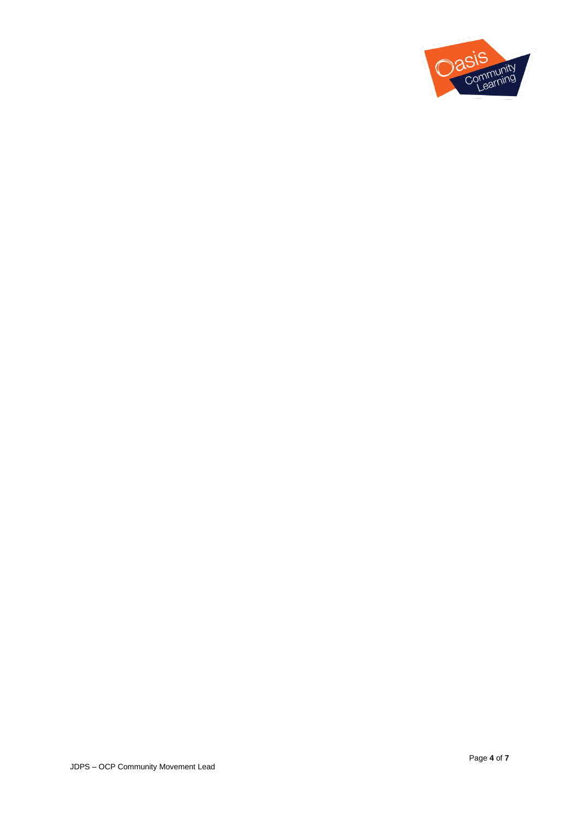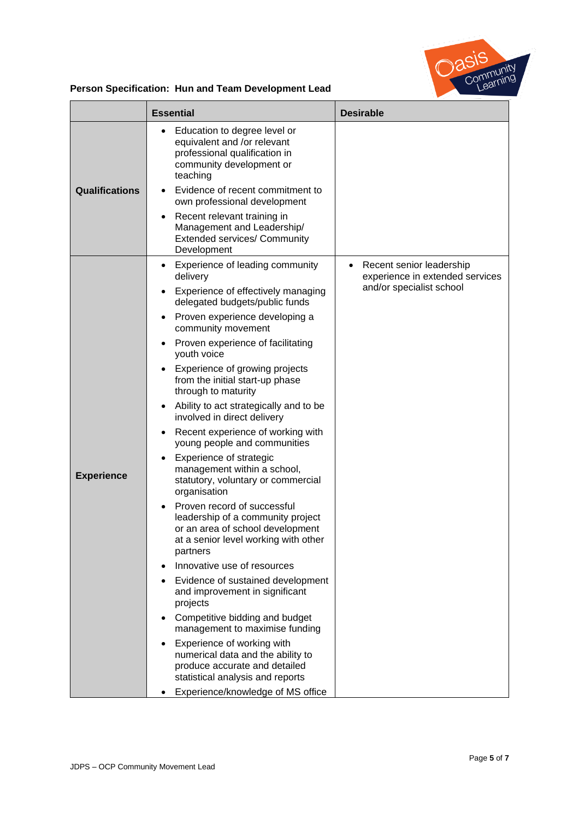

# **Person Specification: Hun and Team Development Lead**

|                       | <b>Essential</b>                                                                                                                                                                                                                                                                                                                                                                                                                                                                                                                                                                                                                                                                                                                                                                                                                                                                                                                                                                                                                                                                                                                      | <b>Desirable</b>                                                                                     |
|-----------------------|---------------------------------------------------------------------------------------------------------------------------------------------------------------------------------------------------------------------------------------------------------------------------------------------------------------------------------------------------------------------------------------------------------------------------------------------------------------------------------------------------------------------------------------------------------------------------------------------------------------------------------------------------------------------------------------------------------------------------------------------------------------------------------------------------------------------------------------------------------------------------------------------------------------------------------------------------------------------------------------------------------------------------------------------------------------------------------------------------------------------------------------|------------------------------------------------------------------------------------------------------|
| <b>Qualifications</b> | Education to degree level or<br>equivalent and /or relevant<br>professional qualification in<br>community development or<br>teaching<br>Evidence of recent commitment to<br>own professional development<br>Recent relevant training in<br>Management and Leadership/<br><b>Extended services/ Community</b><br>Development                                                                                                                                                                                                                                                                                                                                                                                                                                                                                                                                                                                                                                                                                                                                                                                                           |                                                                                                      |
| <b>Experience</b>     | Experience of leading community<br>$\bullet$<br>delivery<br>Experience of effectively managing<br>delegated budgets/public funds<br>Proven experience developing a<br>community movement<br>Proven experience of facilitating<br>youth voice<br>Experience of growing projects<br>from the initial start-up phase<br>through to maturity<br>Ability to act strategically and to be<br>involved in direct delivery<br>Recent experience of working with<br>young people and communities<br>Experience of strategic<br>management within a school,<br>statutory, voluntary or commercial<br>organisation<br>Proven record of successful<br>leadership of a community project<br>or an area of school development<br>at a senior level working with other<br>partners<br>Innovative use of resources<br>Evidence of sustained development<br>and improvement in significant<br>projects<br>Competitive bidding and budget<br>management to maximise funding<br>Experience of working with<br>numerical data and the ability to<br>produce accurate and detailed<br>statistical analysis and reports<br>Experience/knowledge of MS office | Recent senior leadership<br>$\bullet$<br>experience in extended services<br>and/or specialist school |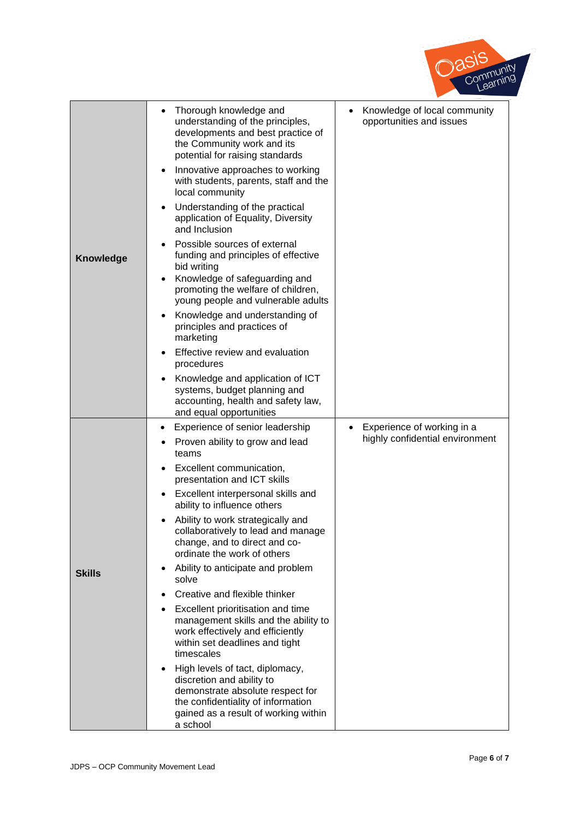

|                  | Thorough knowledge and<br>understanding of the principles,<br>developments and best practice of<br>the Community work and its<br>potential for raising standards                           | Knowledge of local community<br>opportunities and issues |
|------------------|--------------------------------------------------------------------------------------------------------------------------------------------------------------------------------------------|----------------------------------------------------------|
|                  | Innovative approaches to working<br>with students, parents, staff and the<br>local community                                                                                               |                                                          |
|                  | Understanding of the practical<br>application of Equality, Diversity<br>and Inclusion                                                                                                      |                                                          |
| <b>Knowledge</b> | Possible sources of external<br>funding and principles of effective<br>bid writing                                                                                                         |                                                          |
|                  | Knowledge of safeguarding and<br>٠<br>promoting the welfare of children,<br>young people and vulnerable adults                                                                             |                                                          |
|                  | Knowledge and understanding of<br>principles and practices of<br>marketing                                                                                                                 |                                                          |
|                  | Effective review and evaluation<br>procedures                                                                                                                                              |                                                          |
|                  | Knowledge and application of ICT<br>systems, budget planning and<br>accounting, health and safety law,<br>and equal opportunities                                                          |                                                          |
|                  | Experience of senior leadership<br>٠                                                                                                                                                       | Experience of working in a                               |
|                  | Proven ability to grow and lead<br>teams                                                                                                                                                   | highly confidential environment                          |
|                  | Excellent communication,<br>presentation and ICT skills                                                                                                                                    |                                                          |
|                  | Excellent interpersonal skills and<br>ability to influence others                                                                                                                          |                                                          |
|                  | Ability to work strategically and<br>collaboratively to lead and manage<br>change, and to direct and co-<br>ordinate the work of others                                                    |                                                          |
| <b>Skills</b>    | Ability to anticipate and problem<br>solve                                                                                                                                                 |                                                          |
|                  | Creative and flexible thinker                                                                                                                                                              |                                                          |
|                  | Excellent prioritisation and time<br>management skills and the ability to<br>work effectively and efficiently<br>within set deadlines and tight<br>timescales                              |                                                          |
|                  | High levels of tact, diplomacy,<br>discretion and ability to<br>demonstrate absolute respect for<br>the confidentiality of information<br>gained as a result of working within<br>a school |                                                          |